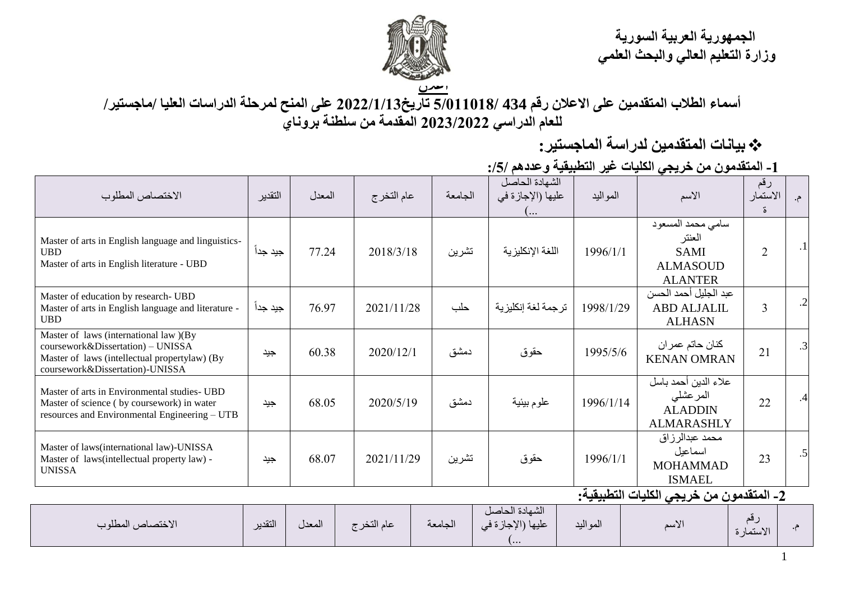**الجمهورية العربية السورية وزارة التعليم العالي والبحث العلمي**



**أسماء الطالب المتقدمين على االعالن رقم 434 5/011018/ تاريخ2022/1/13 على المنح لمرحلة الدراسات العليا /ماجستير/ للعام الدراسي 2023/2022 المقدمة من سلطنة بروناي**

**بيانات المتقدمين لدراسة الماجستير:**

**-1 المتقدمون من خريجي الكليات غير التطبيقية وعددهم :/5/**

| الاختصاص المطلوب                                                                                                                                                | التقدير  | المعدل | عام التخرج | الجامعة | الشهادة الحاصل<br>عليها (الإجازة في<br>( | المواليد  | الأسم                                                                           | رقم<br>الاستمار<br>ő. | م.              |
|-----------------------------------------------------------------------------------------------------------------------------------------------------------------|----------|--------|------------|---------|------------------------------------------|-----------|---------------------------------------------------------------------------------|-----------------------|-----------------|
| Master of arts in English language and linguistics-<br><b>UBD</b><br>Master of arts in English literature - UBD                                                 | جيد جداً | 77.24  | 2018/3/18  | تشرين   | اللغة الإنكليزية                         | 1996/1/1  | سامي محمد المسعود<br>العنتر<br><b>SAMI</b><br><b>ALMASOUD</b><br><b>ALANTER</b> | $\overline{2}$        | .1 <sub>1</sub> |
| Master of education by research- UBD<br>Master of arts in English language and literature -<br><b>UBD</b>                                                       | جيد جداً | 76.97  | 2021/11/28 | حلب     | ترجمة لغة إنكليزية                       | 1998/1/29 | عبد الجليل أحمد الحسن<br><b>ABD ALJALIL</b><br><b>ALHASN</b>                    | $\overline{3}$        | $\cdot$         |
| Master of laws (international law )(By<br>coursework&Dissertation) - UNISSA<br>Master of laws (intellectual propertylaw) (By<br>coursework&Dissertation)-UNISSA | جيد      | 60.38  | 2020/12/1  | دمشق    | حقوق                                     | 1995/5/6  | كنان حاتم عمر ان<br><b>KENAN OMRAN</b>                                          | 21                    | .3              |
| Master of arts in Environmental studies- UBD<br>Master of science (by coursework) in water<br>resources and Environmental Engineering - UTB                     | جيد      | 68.05  | 2020/5/19  | دمشق    | علوم بيئية                               | 1996/1/14 | علاء الدين أحمد باسل<br>المرعشلى<br><b>ALADDIN</b><br><b>ALMARASHLY</b>         | 22                    | .4              |
| Master of laws(international law)-UNISSA<br>Master of laws(intellectual property law) -<br><b>UNISSA</b>                                                        | جيد      | 68.07  | 2021/11/29 | تشرين   | حقوق                                     | 1996/1/1  | محمد عبدالرزاق<br>اسماعيل<br><b>MOHAMMAD</b><br><b>ISMAEL</b>                   | 23                    | .5              |
| 2- المتقدمون من خريجي الكليات التطبيقية:                                                                                                                        |          |        |            |         |                                          |           |                                                                                 |                       |                 |

| الاختصاص المطلوب | التقدير | المعدل | عام التخر ج | الجامعه | الشهادة الحاصل<br>عليها (الإجازة في<br><b></b> | المواليد | الأسم | ╰<br>الاستمار ة |  |
|------------------|---------|--------|-------------|---------|------------------------------------------------|----------|-------|-----------------|--|
|------------------|---------|--------|-------------|---------|------------------------------------------------|----------|-------|-----------------|--|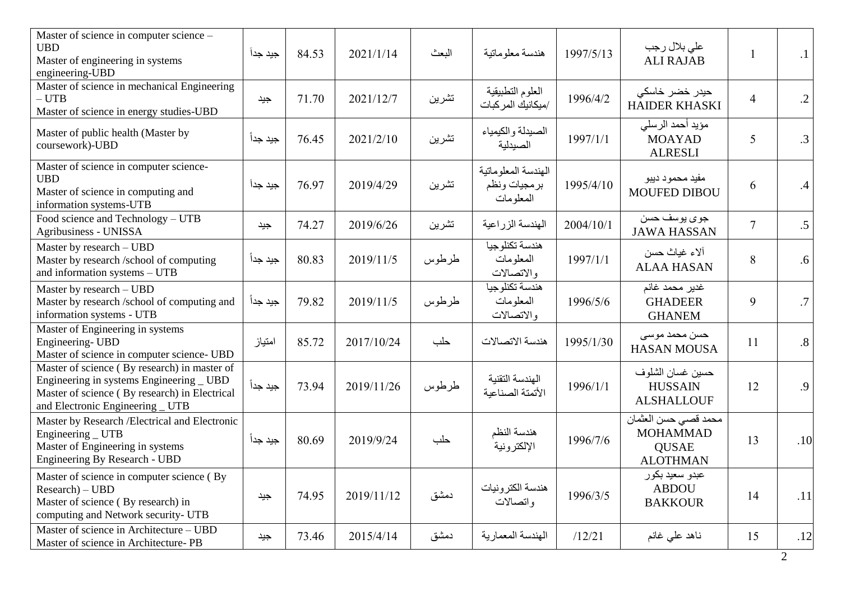| Master of science in computer science -<br><b>UBD</b><br>Master of engineering in systems<br>engineering-UBD                                                                  | جيد جداً | 84.53 | 2021/1/14  | البعث | هندسة معلوماتية                                  | 1997/5/13 | على بلال رجب<br><b>ALI RAJAB</b>                                            |                | .1              |
|-------------------------------------------------------------------------------------------------------------------------------------------------------------------------------|----------|-------|------------|-------|--------------------------------------------------|-----------|-----------------------------------------------------------------------------|----------------|-----------------|
| Master of science in mechanical Engineering<br>$- UTB$<br>Master of science in energy studies-UBD                                                                             | جيد      | 71.70 | 2021/12/7  | تشرين | العلوم التطبيقية<br>/ميكانيك المر كبات           | 1996/4/2  | حیدر خضر خاسکی<br><b>HAIDER KHASKI</b>                                      | $\overline{4}$ | $\cdot$ 2       |
| Master of public health (Master by<br>coursework)-UBD                                                                                                                         | جيد جداً | 76.45 | 2021/2/10  | تشرين | الصيدلة والكيمياء<br>الصيدلية                    | 1997/1/1  | مؤيد أحمد الرسلي<br><b>MOAYAD</b><br><b>ALRESLI</b>                         | 5              | .3 <sup>1</sup> |
| Master of science in computer science-<br><b>UBD</b><br>Master of science in computing and<br>information systems-UTB                                                         | جيد جداً | 76.97 | 2019/4/29  | تشرين | الهندسة المعلوماتية<br>برمجيات ونظم<br>المعلومات | 1995/4/10 | مفيد محمود ديبو<br><b>MOUFED DIBOU</b>                                      | 6              | .4              |
| Food science and Technology - UTB<br>Agribusiness - UNISSA                                                                                                                    | جيد      | 74.27 | 2019/6/26  | تشرين | الهندسة الزراعية                                 | 2004/10/1 | جوي پوسف حسن<br><b>JAWA HASSAN</b>                                          | $\overline{7}$ | .5 <sup>1</sup> |
| Master by research - UBD<br>Master by research /school of computing<br>and information systems - UTB                                                                          | جيد جدأ  | 80.83 | 2019/11/5  | طرطوس | هندسة تكنلوجيا<br>المعلومات<br>والاتصالات        | 1997/1/1  | ألاء غياث حسن<br><b>ALAA HASAN</b>                                          | 8              | .6 <sup>1</sup> |
| Master by research - UBD<br>Master by research /school of computing and<br>information systems - UTB                                                                          | جيد جداً | 79.82 | 2019/11/5  | طرطوس | هندسة تكنلوجيا<br>المعلومات<br>والاتصالات        | 1996/5/6  | غدير محمد غانم<br><b>GHADEER</b><br><b>GHANEM</b>                           | 9              | .7 <sub>l</sub> |
| Master of Engineering in systems<br>Engineering-UBD<br>Master of science in computer science- UBD                                                                             | امتياز   | 85.72 | 2017/10/24 | حلب   | هندسة الاتصالات                                  | 1995/1/30 | حسن محمد موسى<br><b>HASAN MOUSA</b>                                         | 11             | .8 <sub>1</sub> |
| Master of science (By research) in master of<br>Engineering in systems Engineering _ UBD<br>Master of science (By research) in Electrical<br>and Electronic Engineering _ UTB | جيد جداً | 73.94 | 2019/11/26 | طرطوس | الهندسة التقنية<br>الأتمتة الصناعبة              | 1996/1/1  | حسين غسان الشلوف<br><b>HUSSAIN</b><br><b>ALSHALLOUF</b>                     | 12             | .9              |
| Master by Research / Electrical and Electronic<br>Engineering _ UTB<br>Master of Engineering in systems<br>Engineering By Research - UBD                                      | جيد جدا  | 80.69 | 2019/9/24  | حلب   | هندسة النظم<br>الإلكترونية                       | 1996/7/6  | محمد قصبي حسن العثمان<br><b>MOHAMMAD</b><br><b>QUSAE</b><br><b>ALOTHMAN</b> | 13             | .10             |
| Master of science in computer science (By<br>$Research$ – $UBD$<br>Master of science (By research) in<br>computing and Network security- UTB                                  | جيد      | 74.95 | 2019/11/12 | دمشق  | هندسة الكترونيات<br>واتصالات                     | 1996/3/5  | عبدو سعيد بكور<br><b>ABDOU</b><br><b>BAKKOUR</b>                            | 14             | .11             |
| Master of science in Architecture - UBD<br>Master of science in Architecture-PB                                                                                               | جيد      | 73.46 | 2015/4/14  | دمشق  | الهندسة المعمار ية                               | /12/21    | ناهد على غانم                                                               | 15             | .12             |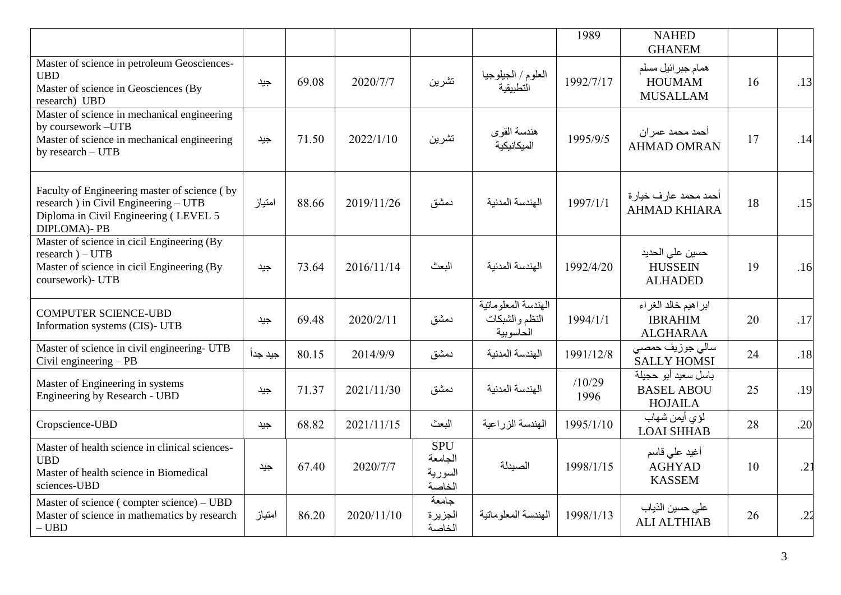|                                                                                                                                                       |          |       |            |                                            |                                                    | 1989           | <b>NAHED</b><br><b>GHANEM</b>                              |    |     |
|-------------------------------------------------------------------------------------------------------------------------------------------------------|----------|-------|------------|--------------------------------------------|----------------------------------------------------|----------------|------------------------------------------------------------|----|-----|
| Master of science in petroleum Geosciences-<br><b>UBD</b><br>Master of science in Geosciences (By<br>research) UBD                                    | جيد      | 69.08 | 2020/7/7   | تشرين                                      | العلوم / الجيلوجيا<br>التطبيقية                    | 1992/7/17      | همام جبرائيل مسلم<br><b>HOUMAM</b><br><b>MUSALLAM</b>      | 16 | .13 |
| Master of science in mechanical engineering<br>by coursework-UTB<br>Master of science in mechanical engineering<br>by research - UTB                  | جيد      | 71.50 | 2022/1/10  | تشرين                                      | هندسة القوى<br>الميكانيكية                         | 1995/9/5       | أحمد محمد عمر ان<br><b>AHMAD OMRAN</b>                     | 17 | .14 |
| Faculty of Engineering master of science (by<br>research) in Civil Engineering - UTB<br>Diploma in Civil Engineering (LEVEL 5<br><b>DIPLOMA</b> )- PB | امتياز   | 88.66 | 2019/11/26 | دمشق                                       | الهندسة المدنية                                    | 1997/1/1       | أحمد محمد عارف خيارة<br><b>AHMAD KHIARA</b>                | 18 | .15 |
| Master of science in cicil Engineering (By<br>$research$ ) – UTB<br>Master of science in cicil Engineering (By<br>coursework)- UTB                    | جيد      | 73.64 | 2016/11/14 | البعث                                      | الهندسة المدنية                                    | 1992/4/20      | حسين على الحديد<br><b>HUSSEIN</b><br><b>ALHADED</b>        | 19 | .16 |
| <b>COMPUTER SCIENCE-UBD</b><br>Information systems (CIS)- UTB                                                                                         | جيد      | 69.48 | 2020/2/11  | دمشق                                       | الهندسة المعلوماتية<br>النظم والشبكات<br>الحاسوبية | 1994/1/1       | ابراهيم خالد الغراء<br><b>IBRAHIM</b><br><b>ALGHARAA</b>   | 20 | .17 |
| Master of science in civil engineering- UTB<br>Civil engineering $-$ PB                                                                               | جيد جداً | 80.15 | 2014/9/9   | دمشق                                       | الهندسة المدنبة                                    | 1991/12/8      | سالي جوزيف حمصى<br><b>SALLY HOMSI</b>                      | 24 | .18 |
| Master of Engineering in systems<br>Engineering by Research - UBD                                                                                     | جيد      | 71.37 | 2021/11/30 | دمشق                                       | الهندسة المدنية                                    | /10/29<br>1996 | باسل سعيد أبو حجيلة<br><b>BASEL ABOU</b><br><b>HOJAILA</b> | 25 | .19 |
| Cropscience-UBD                                                                                                                                       | جيد      | 68.82 | 2021/11/15 | البعث                                      | الهندسة الزراعية                                   | 1995/1/10      | لؤي أيمن شهاب<br><b>LOAI SHHAB</b>                         | 28 | .20 |
| Master of health science in clinical sciences-<br><b>UBD</b><br>Master of health science in Biomedical<br>sciences-UBD                                | جيد      | 67.40 | 2020/7/7   | <b>SPU</b><br>الجامعة<br>السورية<br>الخاصة | الصيدلة                                            | 1998/1/15      | أغيد على قاسم<br><b>AGHYAD</b><br><b>KASSEM</b>            | 10 | .21 |
| Master of science (compter science) - UBD<br>Master of science in mathematics by research<br>$-$ UBD $\,$                                             | امتياز   | 86.20 | 2020/11/10 | جامعة<br>الجزيرة<br>الخاصة                 | الهندسة المعلوماتية                                | 1998/1/13      | على حسين الذياب<br><b>ALI ALTHIAB</b>                      | 26 | .22 |